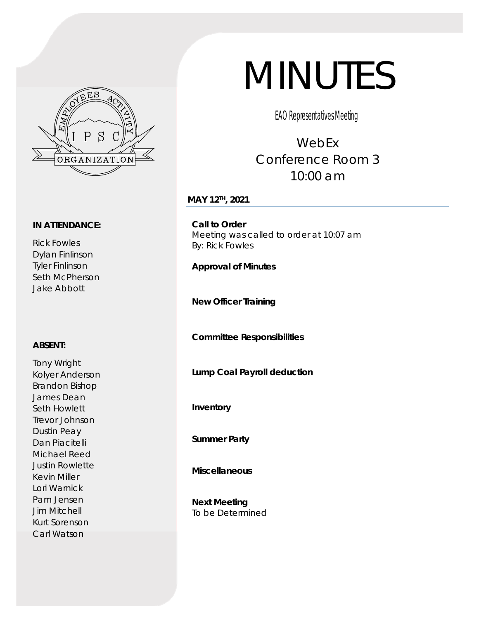

#### **IN ATTENDANCE:**

Rick Fowles Dylan Finlinson Tyler Finlinson Seth McPherson Jake Abbott

#### **ABSENT:**

Tony Wright Kolyer Anderson Brandon Bishop James Dean Seth Howlett Trevor Johnson Dustin Peay Dan Piacitelli Michael Reed Justin Rowlette Kevin Miller Lori Warnick Pam Jensen Jim Mitchell Kurt Sorenson Carl Watson

# MINUTES

EAO Representatives Meeting

# WebEx Conference Room 3 10:00 am

## **MAY 12TH, 2021**

**Call to Order**  Meeting was called to order at 10:07 am By: Rick Fowles

**Approval of Minutes** 

**New Officer Training** 

**Committee Responsibilities** 

**Lump Coal Payroll deduction** 

**Inventory** 

**Summer Party** 

**Miscellaneous** 

**Next Meeting**  To be Determined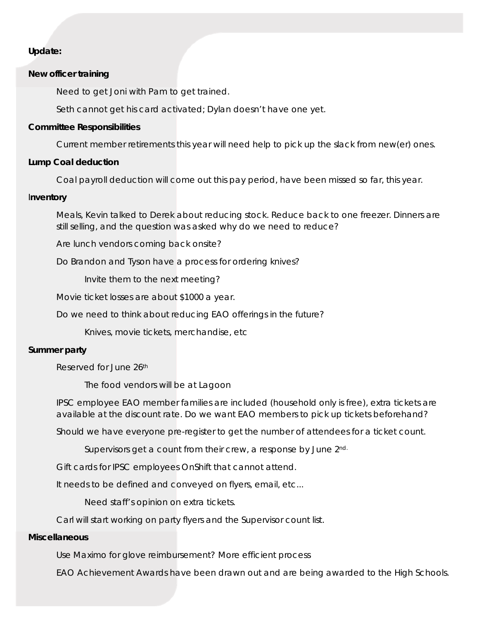## *Update:*

#### **New officer training**

Need to get Joni with Pam to get trained.

Seth cannot get his card activated; Dylan doesn't have one yet.

#### **Committee Responsibilities**

Current member retirements this year will need help to pick up the slack from new(er) ones.

#### **Lump Coal deduction**

Coal payroll deduction will come out this pay period, have been missed so far, this year.

#### I**nventory**

Meals, Kevin talked to Derek about reducing stock. Reduce back to one freezer. Dinners are still selling, and the question was asked why do we need to reduce?

Are lunch vendors coming back onsite?

Do Brandon and Tyson have a process for ordering knives?

Invite them to the next meeting?

Movie ticket losses are about \$1000 a year.

Do we need to think about reducing EAO offerings in the future?

Knives, movie tickets, merchandise, etc

#### **Summer party**

Reserved for June 26th

The food vendors will be at Lagoon

IPSC employee EAO member families are included (household only is free), extra tickets are available at the discount rate. Do we want EAO members to pick up tickets beforehand?

Should we have everyone pre-register to get the number of attendees for a ticket count.

Supervisors get a count from their crew, a response by June 2nd.

Gift cards for IPSC employees OnShift that cannot attend.

It needs to be defined and conveyed on flyers, email, etc...

Need staff's opinion on extra tickets.

Carl will start working on party flyers and the Supervisor count list.

#### **Miscellaneous**

Use Maximo for glove reimbursement? More efficient process

EAO Achievement Awards have been drawn out and are being awarded to the High Schools.